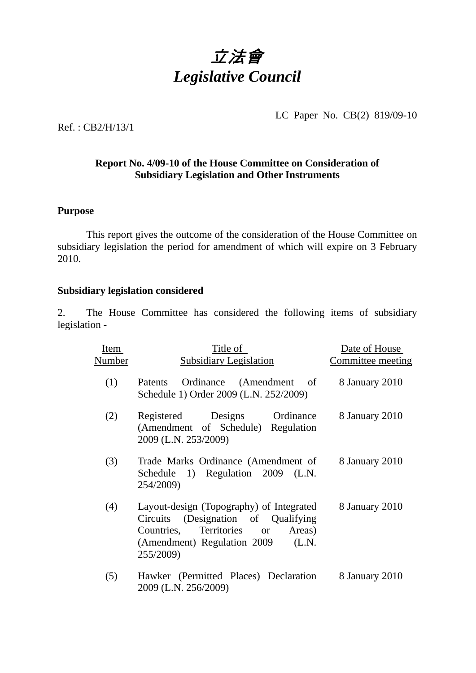

LC Paper No. CB(2) 819/09-10

Ref. : CB2/H/13/1

## **Report No. 4/09-10 of the House Committee on Consideration of Subsidiary Legislation and Other Instruments**

## **Purpose**

**1** This report gives the outcome of the consideration of the House Committee on subsidiary legislation the period for amendment of which will expire on 3 February 2010.

## **Subsidiary legislation considered**

2. The House Committee has considered the following items of subsidiary legislation -

| Item   | Title of                                                                                                                                                                                 | Date of House     |
|--------|------------------------------------------------------------------------------------------------------------------------------------------------------------------------------------------|-------------------|
| Number | <b>Subsidiary Legislation</b>                                                                                                                                                            | Committee meeting |
| (1)    | Ordinance (Amendment of<br>Patents<br>Schedule 1) Order 2009 (L.N. 252/2009)                                                                                                             | 8 January 2010    |
| (2)    | Registered Designs<br>Ordinance<br>(Amendment of Schedule) Regulation<br>2009 (L.N. 253/2009)                                                                                            | 8 January 2010    |
| (3)    | Trade Marks Ordinance (Amendment of<br>Schedule 1) Regulation 2009 (L.N.<br>254/2009)                                                                                                    | 8 January 2010    |
| (4)    | Layout-design (Topography) of Integrated<br>Circuits (Designation of Qualifying<br>Territories<br>Countries,<br>Areas)<br><b>or</b><br>(Amendment) Regulation 2009<br>(L.N.<br>255/2009) | 8 January 2010    |
| (5)    | Hawker (Permitted Places) Declaration<br>2009 (L.N. 256/2009)                                                                                                                            | 8 January 2010    |